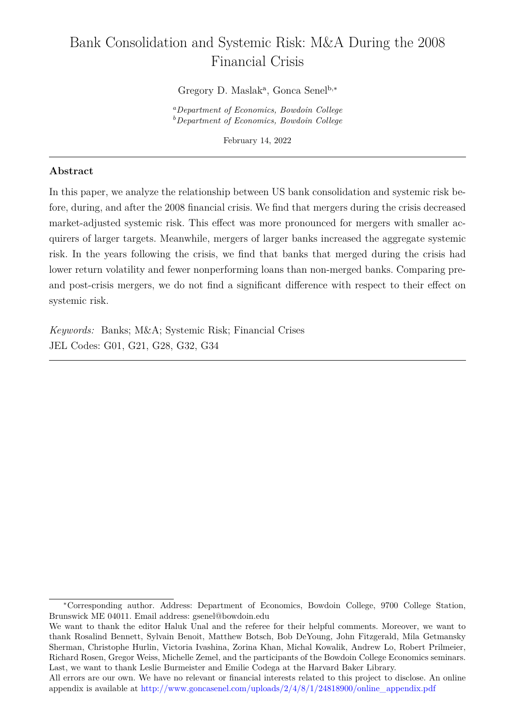# <span id="page-0-0"></span>Bank Consolidation and Systemic Risk: M&A During the 2008 Financial Crisis

Gregory D. Maslak<sup>a</sup>, Gonca Senel<sup>b,\*</sup>

*<sup>a</sup>Department of Economics, Bowdoin College <sup>b</sup>Department of Economics, Bowdoin College*

February 14, 2022

#### **Abstract**

In this paper, we analyze the relationship between US bank consolidation and systemic risk before, during, and after the 2008 financial crisis. We find that mergers during the crisis decreased market-adjusted systemic risk. This effect was more pronounced for mergers with smaller acquirers of larger targets. Meanwhile, mergers of larger banks increased the aggregate systemic risk. In the years following the crisis, we find that banks that merged during the crisis had lower return volatility and fewer nonperforming loans than non-merged banks. Comparing preand post-crisis mergers, we do not find a significant difference with respect to their effect on systemic risk.

*Keywords:* Banks; M&A; Systemic Risk; Financial Crises JEL Codes: G01, G21, G28, G32, G34

<sup>∗</sup>Corresponding author. Address: Department of Economics, Bowdoin College, 9700 College Station, Brunswick ME 04011. Email address: gsenel@bowdoin.edu

We want to thank the editor Haluk Unal and the referee for their helpful comments. Moreover, we want to thank Rosalind Bennett, Sylvain Benoit, Matthew Botsch, Bob DeYoung, John Fitzgerald, Mila Getmansky Sherman, Christophe Hurlin, Victoria Ivashina, Zorina Khan, Michal Kowalik, Andrew Lo, Robert Prilmeier, Richard Rosen, Gregor Weiss, Michelle Zemel, and the participants of the Bowdoin College Economics seminars. Last, we want to thank Leslie Burmeister and Emilie Codega at the Harvard Baker Library.

All errors are our own. We have no relevant or financial interests related to this project to disclose. An online appendix is available at [http://www.goncasenel.com/uploads/2/4/8/1/24818900/online\\_appendix.pdf](http://www.goncasenel.com/uploads/2/4/8/1/24818900/online_appendix.pdf)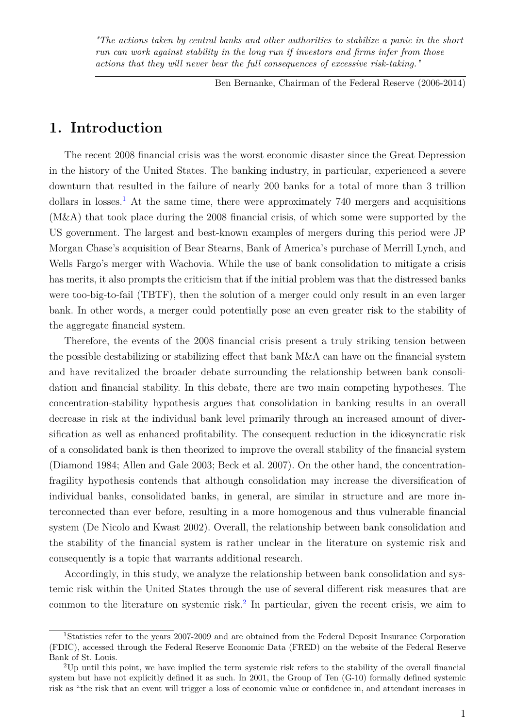*"The actions taken by central banks and other authorities to stabilize a panic in the short run can work against stability in the long run if investors and firms infer from those actions that they will never bear the full consequences of excessive risk-taking."*

Ben Bernanke, Chairman of the Federal Reserve (2006-2014)

### **1. Introduction**

The recent 2008 financial crisis was the worst economic disaster since the Great Depression in the history of the United States. The banking industry, in particular, experienced a severe downturn that resulted in the failure of nearly 200 banks for a total of more than 3 trillion dollars in losses.<sup>[1](#page-0-0)</sup> At the same time, there were approximately  $740$  mergers and acquisitions (M&A) that took place during the 2008 financial crisis, of which some were supported by the US government. The largest and best-known examples of mergers during this period were JP Morgan Chase's acquisition of Bear Stearns, Bank of America's purchase of Merrill Lynch, and Wells Fargo's merger with Wachovia. While the use of bank consolidation to mitigate a crisis has merits, it also prompts the criticism that if the initial problem was that the distressed banks were too-big-to-fail (TBTF), then the solution of a merger could only result in an even larger bank. In other words, a merger could potentially pose an even greater risk to the stability of the aggregate financial system.

Therefore, the events of the 2008 financial crisis present a truly striking tension between the possible destabilizing or stabilizing effect that bank M&A can have on the financial system and have revitalized the broader debate surrounding the relationship between bank consolidation and financial stability. In this debate, there are two main competing hypotheses. The concentration-stability hypothesis argues that consolidation in banking results in an overall decrease in risk at the individual bank level primarily through an increased amount of diversification as well as enhanced profitability. The consequent reduction in the idiosyncratic risk of a consolidated bank is then theorized to improve the overall stability of the financial system (Diamond 1984; Allen and Gale 2003; Beck et al. 2007). On the other hand, the concentrationfragility hypothesis contends that although consolidation may increase the diversification of individual banks, consolidated banks, in general, are similar in structure and are more interconnected than ever before, resulting in a more homogenous and thus vulnerable financial system (De Nicolo and Kwast 2002). Overall, the relationship between bank consolidation and the stability of the financial system is rather unclear in the literature on systemic risk and consequently is a topic that warrants additional research.

Accordingly, in this study, we analyze the relationship between bank consolidation and systemic risk within the United States through the use of several different risk measures that are common to the literature on systemic risk.<sup>[2](#page-0-0)</sup> In particular, given the recent crisis, we aim to

<sup>1</sup>Statistics refer to the years 2007-2009 and are obtained from the Federal Deposit Insurance Corporation (FDIC), accessed through the Federal Reserve Economic Data (FRED) on the website of the Federal Reserve Bank of St. Louis.

<sup>2</sup>Up until this point, we have implied the term systemic risk refers to the stability of the overall financial system but have not explicitly defined it as such. In 2001, the Group of Ten (G-10) formally defined systemic risk as "the risk that an event will trigger a loss of economic value or confidence in, and attendant increases in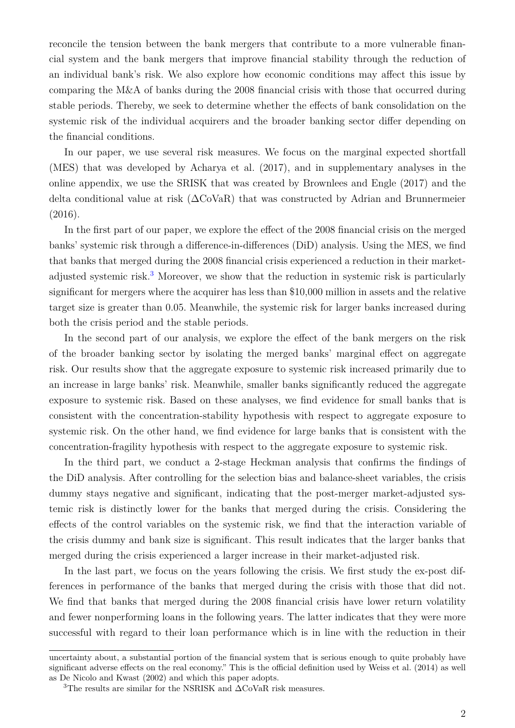reconcile the tension between the bank mergers that contribute to a more vulnerable financial system and the bank mergers that improve financial stability through the reduction of an individual bank's risk. We also explore how economic conditions may affect this issue by comparing the M&A of banks during the 2008 financial crisis with those that occurred during stable periods. Thereby, we seek to determine whether the effects of bank consolidation on the systemic risk of the individual acquirers and the broader banking sector differ depending on the financial conditions.

In our paper, we use several risk measures. We focus on the marginal expected shortfall (MES) that was developed by Acharya et al. (2017), and in supplementary analyses in the online appendix, we use the SRISK that was created by Brownlees and Engle (2017) and the delta conditional value at risk (∆CoVaR) that was constructed by Adrian and Brunnermeier (2016).

In the first part of our paper, we explore the effect of the 2008 financial crisis on the merged banks' systemic risk through a difference-in-differences (DiD) analysis. Using the MES, we find that banks that merged during the 2008 financial crisis experienced a reduction in their market-adjusted systemic risk.<sup>[3](#page-0-0)</sup> Moreover, we show that the reduction in systemic risk is particularly significant for mergers where the acquirer has less than \$10,000 million in assets and the relative target size is greater than 0.05. Meanwhile, the systemic risk for larger banks increased during both the crisis period and the stable periods.

In the second part of our analysis, we explore the effect of the bank mergers on the risk of the broader banking sector by isolating the merged banks' marginal effect on aggregate risk. Our results show that the aggregate exposure to systemic risk increased primarily due to an increase in large banks' risk. Meanwhile, smaller banks significantly reduced the aggregate exposure to systemic risk. Based on these analyses, we find evidence for small banks that is consistent with the concentration-stability hypothesis with respect to aggregate exposure to systemic risk. On the other hand, we find evidence for large banks that is consistent with the concentration-fragility hypothesis with respect to the aggregate exposure to systemic risk.

In the third part, we conduct a 2-stage Heckman analysis that confirms the findings of the DiD analysis. After controlling for the selection bias and balance-sheet variables, the crisis dummy stays negative and significant, indicating that the post-merger market-adjusted systemic risk is distinctly lower for the banks that merged during the crisis. Considering the effects of the control variables on the systemic risk, we find that the interaction variable of the crisis dummy and bank size is significant. This result indicates that the larger banks that merged during the crisis experienced a larger increase in their market-adjusted risk.

In the last part, we focus on the years following the crisis. We first study the ex-post differences in performance of the banks that merged during the crisis with those that did not. We find that banks that merged during the 2008 financial crisis have lower return volatility and fewer nonperforming loans in the following years. The latter indicates that they were more successful with regard to their loan performance which is in line with the reduction in their

uncertainty about, a substantial portion of the financial system that is serious enough to quite probably have significant adverse effects on the real economy." This is the official definition used by Weiss et al. (2014) as well as De Nicolo and Kwast (2002) and which this paper adopts.

 $^3\mathrm{The}$  results are similar for the NSRISK and  $\Delta \mathrm{CoVaR}$  risk measures.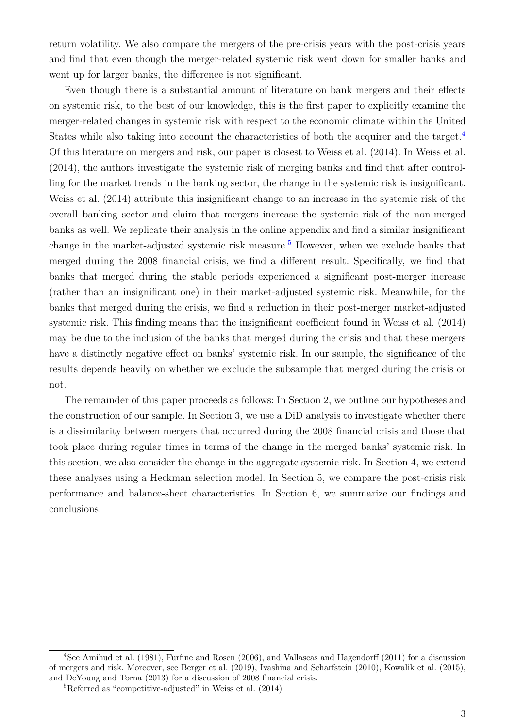return volatility. We also compare the mergers of the pre-crisis years with the post-crisis years and find that even though the merger-related systemic risk went down for smaller banks and went up for larger banks, the difference is not significant.

Even though there is a substantial amount of literature on bank mergers and their effects on systemic risk, to the best of our knowledge, this is the first paper to explicitly examine the merger-related changes in systemic risk with respect to the economic climate within the United States while also taking into account the characteristics of both the acquirer and the target.<sup>[4](#page-0-0)</sup> Of this literature on mergers and risk, our paper is closest to Weiss et al. (2014). In Weiss et al. (2014), the authors investigate the systemic risk of merging banks and find that after controlling for the market trends in the banking sector, the change in the systemic risk is insignificant. Weiss et al. (2014) attribute this insignificant change to an increase in the systemic risk of the overall banking sector and claim that mergers increase the systemic risk of the non-merged banks as well. We replicate their analysis in the online appendix and find a similar insignificant change in the market-adjusted systemic risk measure.<sup>[5](#page-0-0)</sup> However, when we exclude banks that merged during the 2008 financial crisis, we find a different result. Specifically, we find that banks that merged during the stable periods experienced a significant post-merger increase (rather than an insignificant one) in their market-adjusted systemic risk. Meanwhile, for the banks that merged during the crisis, we find a reduction in their post-merger market-adjusted systemic risk. This finding means that the insignificant coefficient found in Weiss et al. (2014) may be due to the inclusion of the banks that merged during the crisis and that these mergers have a distinctly negative effect on banks' systemic risk. In our sample, the significance of the results depends heavily on whether we exclude the subsample that merged during the crisis or not.

The remainder of this paper proceeds as follows: In Section 2, we outline our hypotheses and the construction of our sample. In Section 3, we use a DiD analysis to investigate whether there is a dissimilarity between mergers that occurred during the 2008 financial crisis and those that took place during regular times in terms of the change in the merged banks' systemic risk. In this section, we also consider the change in the aggregate systemic risk. In Section 4, we extend these analyses using a Heckman selection model. In Section 5, we compare the post-crisis risk performance and balance-sheet characteristics. In Section 6, we summarize our findings and conclusions.

<sup>4</sup>See Amihud et al. (1981), Furfine and Rosen (2006), and Vallascas and Hagendorff (2011) for a discussion of mergers and risk. Moreover, see Berger et al. (2019), Ivashina and Scharfstein (2010), Kowalik et al. (2015), and DeYoung and Torna (2013) for a discussion of 2008 financial crisis.

 ${}^{5}$ Referred as "competitive-adjusted" in Weiss et al. (2014)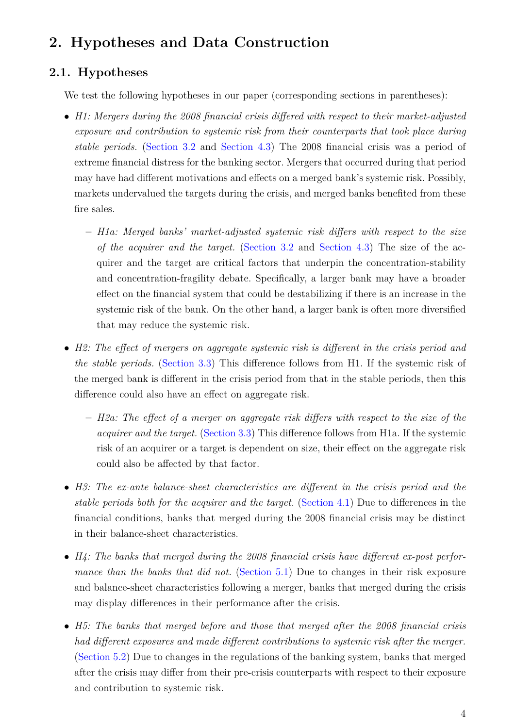## **2. Hypotheses and Data Construction**

### **2.1. Hypotheses**

We test the following hypotheses in our paper (corresponding sections in parentheses):

- *H1: Mergers during the 2008 financial crisis differed with respect to their market-adjusted exposure and contribution to systemic risk from their counterparts that took place during stable periods.* [\(Section 3.2](#page-8-0) and [Section 4.3\)](#page-14-0) The 2008 financial crisis was a period of extreme financial distress for the banking sector. Mergers that occurred during that period may have had different motivations and effects on a merged bank's systemic risk. Possibly, markets undervalued the targets during the crisis, and merged banks benefited from these fire sales.
	- **–** *H1a: Merged banks' market-adjusted systemic risk differs with respect to the size of the acquirer and the target.* [\(Section 3.2](#page-8-0) and [Section 4.3\)](#page-14-0) The size of the acquirer and the target are critical factors that underpin the concentration-stability and concentration-fragility debate. Specifically, a larger bank may have a broader effect on the financial system that could be destabilizing if there is an increase in the systemic risk of the bank. On the other hand, a larger bank is often more diversified that may reduce the systemic risk.
- *H2: The effect of mergers on aggregate systemic risk is different in the crisis period and the stable periods.* [\(Section 3.3\)](#page-10-0) This difference follows from H1. If the systemic risk of the merged bank is different in the crisis period from that in the stable periods, then this difference could also have an effect on aggregate risk.
	- **–** *H2a: The effect of a merger on aggregate risk differs with respect to the size of the acquirer and the target.* [\(Section 3.3\)](#page-10-0) This difference follows from H1a. If the systemic risk of an acquirer or a target is dependent on size, their effect on the aggregate risk could also be affected by that factor.
- *H3: The ex-ante balance-sheet characteristics are different in the crisis period and the stable periods both for the acquirer and the target.* [\(Section 4.1\)](#page-12-0) Due to differences in the financial conditions, banks that merged during the 2008 financial crisis may be distinct in their balance-sheet characteristics.
- *H4: The banks that merged during the 2008 financial crisis have different ex-post performance than the banks that did not.* [\(Section 5.1\)](#page-16-0) Due to changes in their risk exposure and balance-sheet characteristics following a merger, banks that merged during the crisis may display differences in their performance after the crisis.
- *H5: The banks that merged before and those that merged after the 2008 financial crisis had different exposures and made different contributions to systemic risk after the merger.* [\(Section 5.2\)](#page-17-0) Due to changes in the regulations of the banking system, banks that merged after the crisis may differ from their pre-crisis counterparts with respect to their exposure and contribution to systemic risk.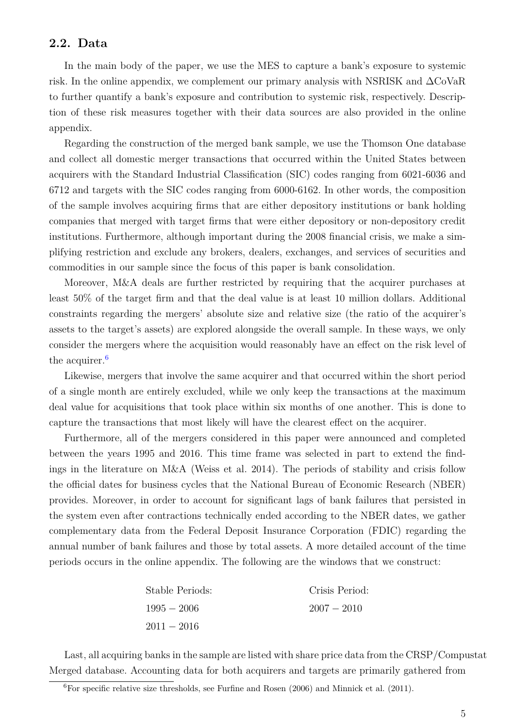### **2.2. Data**

In the main body of the paper, we use the MES to capture a bank's exposure to systemic risk. In the online appendix, we complement our primary analysis with NSRISK and ∆CoVaR to further quantify a bank's exposure and contribution to systemic risk, respectively. Description of these risk measures together with their data sources are also provided in the online appendix.

Regarding the construction of the merged bank sample, we use the Thomson One database and collect all domestic merger transactions that occurred within the United States between acquirers with the Standard Industrial Classification (SIC) codes ranging from 6021-6036 and 6712 and targets with the SIC codes ranging from 6000-6162. In other words, the composition of the sample involves acquiring firms that are either depository institutions or bank holding companies that merged with target firms that were either depository or non-depository credit institutions. Furthermore, although important during the 2008 financial crisis, we make a simplifying restriction and exclude any brokers, dealers, exchanges, and services of securities and commodities in our sample since the focus of this paper is bank consolidation.

Moreover, M&A deals are further restricted by requiring that the acquirer purchases at least 50% of the target firm and that the deal value is at least 10 million dollars. Additional constraints regarding the mergers' absolute size and relative size (the ratio of the acquirer's assets to the target's assets) are explored alongside the overall sample. In these ways, we only consider the mergers where the acquisition would reasonably have an effect on the risk level of the acquirer.<sup>[6](#page-0-0)</sup>

Likewise, mergers that involve the same acquirer and that occurred within the short period of a single month are entirely excluded, while we only keep the transactions at the maximum deal value for acquisitions that took place within six months of one another. This is done to capture the transactions that most likely will have the clearest effect on the acquirer.

Furthermore, all of the mergers considered in this paper were announced and completed between the years 1995 and 2016. This time frame was selected in part to extend the findings in the literature on M&A (Weiss et al. 2014). The periods of stability and crisis follow the official dates for business cycles that the National Bureau of Economic Research (NBER) provides. Moreover, in order to account for significant lags of bank failures that persisted in the system even after contractions technically ended according to the NBER dates, we gather complementary data from the Federal Deposit Insurance Corporation (FDIC) regarding the annual number of bank failures and those by total assets. A more detailed account of the time periods occurs in the online appendix. The following are the windows that we construct:

| Stable Periods: | Crisis Period: |
|-----------------|----------------|
| $1995 - 2006$   | $2007 - 2010$  |
| $2011 - 2016$   |                |

Last, all acquiring banks in the sample are listed with share price data from the CRSP/Compustat Merged database. Accounting data for both acquirers and targets are primarily gathered from

 ${}^{6}$ For specific relative size thresholds, see Furfine and Rosen (2006) and Minnick et al. (2011).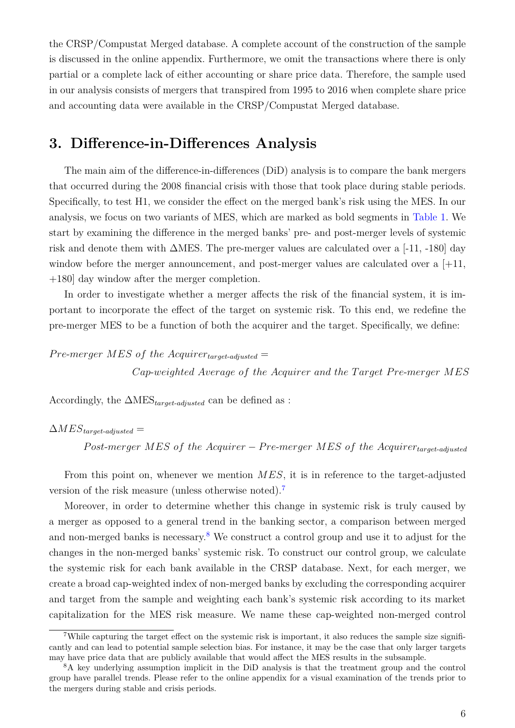the CRSP/Compustat Merged database. A complete account of the construction of the sample is discussed in the online appendix. Furthermore, we omit the transactions where there is only partial or a complete lack of either accounting or share price data. Therefore, the sample used in our analysis consists of mergers that transpired from 1995 to 2016 when complete share price and accounting data were available in the CRSP/Compustat Merged database.

### **3. Difference-in-Differences Analysis**

The main aim of the difference-in-differences (DiD) analysis is to compare the bank mergers that occurred during the 2008 financial crisis with those that took place during stable periods. Specifically, to test H1, we consider the effect on the merged bank's risk using the MES. In our analysis, we focus on two variants of MES, which are marked as bold segments in [Table 1.](#page-7-0) We start by examining the difference in the merged banks' pre- and post-merger levels of systemic risk and denote them with ∆MES. The pre-merger values are calculated over a [-11, -180] day window before the merger announcement, and post-merger values are calculated over a  $[+11,$ +180] day window after the merger completion.

In order to investigate whether a merger affects the risk of the financial system, it is important to incorporate the effect of the target on systemic risk. To this end, we redefine the pre-merger MES to be a function of both the acquirer and the target. Specifically, we define:

*Pre-merger MES of the Acquirer*<sub>target-*adjusted* =</sub> *Cap-weighted Average of the Acquirer and the Target Pre-merger MES* 

Accordingly, the ∆MES*target*-*adjusted* can be defined as :

## $\Delta MES_{target\text{-}adjusted} =$ *Post-merger MES of the Acquirer* − *Pre-merger MES of the Acquirer*<sub>target-adjusted</sub>

From this point on, whenever we mention *MES*, it is in reference to the target-adjusted version of the risk measure (unless otherwise noted).[7](#page-0-0)

Moreover, in order to determine whether this change in systemic risk is truly caused by a merger as opposed to a general trend in the banking sector, a comparison between merged and non-merged banks is necessary.[8](#page-0-0) We construct a control group and use it to adjust for the changes in the non-merged banks' systemic risk. To construct our control group, we calculate the systemic risk for each bank available in the CRSP database. Next, for each merger, we create a broad cap-weighted index of non-merged banks by excluding the corresponding acquirer and target from the sample and weighting each bank's systemic risk according to its market capitalization for the MES risk measure. We name these cap-weighted non-merged control

<sup>7</sup>While capturing the target effect on the systemic risk is important, it also reduces the sample size significantly and can lead to potential sample selection bias. For instance, it may be the case that only larger targets may have price data that are publicly available that would affect the MES results in the subsample.

<sup>8</sup>A key underlying assumption implicit in the DiD analysis is that the treatment group and the control group have parallel trends. Please refer to the online appendix for a visual examination of the trends prior to the mergers during stable and crisis periods.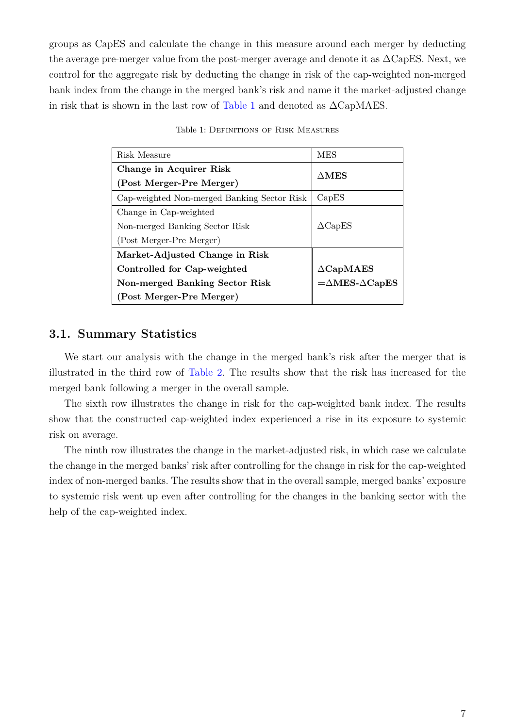groups as CapES and calculate the change in this measure around each merger by deducting the average pre-merger value from the post-merger average and denote it as ∆CapES. Next, we control for the aggregate risk by deducting the change in risk of the cap-weighted non-merged bank index from the change in the merged bank's risk and name it the market-adjusted change in risk that is shown in the last row of [Table 1](#page-7-0) and denoted as ∆CapMAES.

<span id="page-7-0"></span>

| Risk Measure                                | <b>MES</b>                 |
|---------------------------------------------|----------------------------|
| Change in Acquirer Risk                     | $\Delta \mathbf{MES}$      |
| (Post Merger-Pre Merger)                    |                            |
| Cap-weighted Non-merged Banking Sector Risk | CapES                      |
| Change in Cap-weighted                      |                            |
| Non-merged Banking Sector Risk              | $\Delta \text{CapES}$      |
| (Post Merger-Pre Merger)                    |                            |
| Market-Adjusted Change in Risk              |                            |
| Controlled for Cap-weighted                 | $\triangle$ CapMAES        |
| Non-merged Banking Sector Risk              | $=\Delta MES-\Delta CapES$ |
| (Post Merger-Pre Merger)                    |                            |

Table 1: Definitions of Risk Measures

#### **3.1. Summary Statistics**

We start our analysis with the change in the merged bank's risk after the merger that is illustrated in the third row of [Table 2.](#page-8-1) The results show that the risk has increased for the merged bank following a merger in the overall sample.

The sixth row illustrates the change in risk for the cap-weighted bank index. The results show that the constructed cap-weighted index experienced a rise in its exposure to systemic risk on average.

The ninth row illustrates the change in the market-adjusted risk, in which case we calculate the change in the merged banks' risk after controlling for the change in risk for the cap-weighted index of non-merged banks. The results show that in the overall sample, merged banks' exposure to systemic risk went up even after controlling for the changes in the banking sector with the help of the cap-weighted index.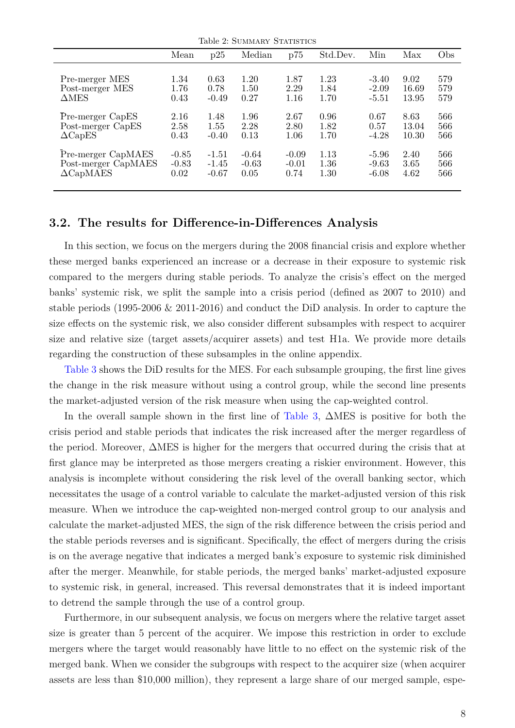<span id="page-8-1"></span>

| Table 2: SUMMARY STATISTICS |         |         |         |         |          |         |       |     |
|-----------------------------|---------|---------|---------|---------|----------|---------|-------|-----|
|                             | Mean    | p25     | Median  | p75     | Std.Dev. | Min     | Max   | Obs |
| Pre-merger MES              | 1.34    | 0.63    | 1.20    | 1.87    | 1.23     | $-3.40$ | 9.02  | 579 |
| Post-merger MES             | 1.76    | 0.78    | 1.50    | 2.29    | 1.84     | $-2.09$ | 16.69 | 579 |
| $\Delta \text{MES}$         | 0.43    | $-0.49$ | 0.27    | 1.16    | 1.70     | $-5.51$ | 13.95 | 579 |
| Pre-merger CapES            | 2.16    | 1.48    | 1.96    | 2.67    | 0.96     | 0.67    | 8.63  | 566 |
| Post-merger CapES           | 2.58    | 1.55    | 2.28    | 2.80    | 1.82     | 0.57    | 13.04 | 566 |
| $\Delta \text{CapES}$       | 0.43    | $-0.40$ | 0.13    | 1.06    | 1.70     | $-4.28$ | 10.30 | 566 |
| Pre-merger CapMAES          | $-0.85$ | $-1.51$ | $-0.64$ | $-0.09$ | 1.13     | $-5.96$ | 2.40  | 566 |
| Post-merger CapMAES         | $-0.83$ | $-1.45$ | $-0.63$ | $-0.01$ | 1.36     | $-9.63$ | 3.65  | 566 |
| $\Delta$ CapMAES            | 0.02    | $-0.67$ | 0.05    | 0.74    | 1.30     | $-6.08$ | 4.62  | 566 |

### <span id="page-8-0"></span>**3.2. The results for Difference-in-Differences Analysis**

In this section, we focus on the mergers during the 2008 financial crisis and explore whether these merged banks experienced an increase or a decrease in their exposure to systemic risk compared to the mergers during stable periods. To analyze the crisis's effect on the merged banks' systemic risk, we split the sample into a crisis period (defined as 2007 to 2010) and stable periods (1995-2006 & 2011-2016) and conduct the DiD analysis. In order to capture the size effects on the systemic risk, we also consider different subsamples with respect to acquirer size and relative size (target assets/acquirer assets) and test H1a. We provide more details regarding the construction of these subsamples in the online appendix.

[Table 3](#page-9-0) shows the DiD results for the MES. For each subsample grouping, the first line gives the change in the risk measure without using a control group, while the second line presents the market-adjusted version of the risk measure when using the cap-weighted control.

In the overall sample shown in the first line of [Table 3,](#page-9-0) ∆MES is positive for both the crisis period and stable periods that indicates the risk increased after the merger regardless of the period. Moreover, ∆MES is higher for the mergers that occurred during the crisis that at first glance may be interpreted as those mergers creating a riskier environment. However, this analysis is incomplete without considering the risk level of the overall banking sector, which necessitates the usage of a control variable to calculate the market-adjusted version of this risk measure. When we introduce the cap-weighted non-merged control group to our analysis and calculate the market-adjusted MES, the sign of the risk difference between the crisis period and the stable periods reverses and is significant. Specifically, the effect of mergers during the crisis is on the average negative that indicates a merged bank's exposure to systemic risk diminished after the merger. Meanwhile, for stable periods, the merged banks' market-adjusted exposure to systemic risk, in general, increased. This reversal demonstrates that it is indeed important to detrend the sample through the use of a control group.

Furthermore, in our subsequent analysis, we focus on mergers where the relative target asset size is greater than 5 percent of the acquirer. We impose this restriction in order to exclude mergers where the target would reasonably have little to no effect on the systemic risk of the merged bank. When we consider the subgroups with respect to the acquirer size (when acquirer assets are less than \$10,000 million), they represent a large share of our merged sample, espe-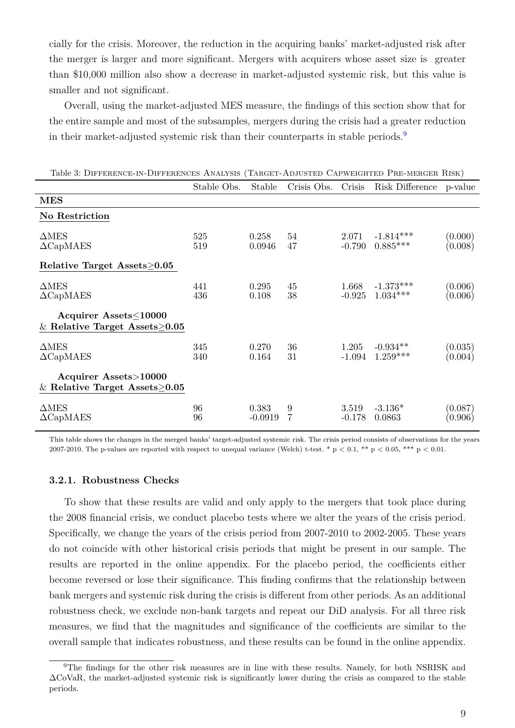cially for the crisis. Moreover, the reduction in the acquiring banks' market-adjusted risk after the merger is larger and more significant. Mergers with acquirers whose asset size is greater than \$10,000 million also show a decrease in market-adjusted systemic risk, but this value is smaller and not significant.

Overall, using the market-adjusted MES measure, the findings of this section show that for the entire sample and most of the subsamples, mergers during the crisis had a greater reduction in their market-adjusted systemic risk than their counterparts in stable periods.<sup>[9](#page-0-0)</sup>

| PHILIPPICE IN PHILENCES INVISION     |             |           | $\frac{1}{2}$      |          |                 |                    |
|--------------------------------------|-------------|-----------|--------------------|----------|-----------------|--------------------|
|                                      | Stable Obs. | Stable    | Crisis Obs. Crisis |          | Risk Difference | p-value            |
| <b>MES</b>                           |             |           |                    |          |                 |                    |
| No Restriction                       |             |           |                    |          |                 |                    |
|                                      |             |           |                    |          |                 |                    |
| $\triangle$ MES                      | 525         | 0.258     | 54                 | 2.071    | $-1.814***$     | (0.000)            |
| $\Delta$ CapMAES                     | 519         | 0.0946    | 47                 | $-0.790$ | $0.885***$      | (0.008)            |
|                                      |             |           |                    |          |                 |                    |
| Relative Target Assets > 0.05        |             |           |                    |          |                 |                    |
|                                      |             |           |                    |          |                 |                    |
| $\triangle$ MES                      | 441         | 0.295     | 45                 | 1.668    | $-1.373***$     | (0.006)            |
| $\Delta$ CapMAES                     | 436         | 0.108     | 38                 | $-0.925$ | $1.034***$      | (0.006)            |
| Acquirer Assets < 10000              |             |           |                    |          |                 |                    |
| & Relative Target Assets $\geq$ 0.05 |             |           |                    |          |                 |                    |
|                                      |             |           |                    |          |                 |                    |
| $\triangle$ MES                      | 345         | 0.270     | 36                 | 1.205    | $-0.934**$      | (0.035)            |
| $\Delta$ CapMAES                     | 340         | 0.164     | 31                 | $-1.094$ | $1.259***$      | (0.004)            |
|                                      |             |           |                    |          |                 |                    |
| Acquirer Assets>10000                |             |           |                    |          |                 |                    |
| & Relative Target Assets $\geq$ 0.05 |             |           |                    |          |                 |                    |
|                                      |             |           |                    |          |                 |                    |
| $\triangle$ MES                      | 96          | 0.383     | 9                  | 3.519    | $-3.136*$       |                    |
| $\Delta$ CapMAES                     | 96          | $-0.0919$ | 7                  | $-0.178$ | 0.0863          | (0.087)<br>(0.906) |
|                                      |             |           |                    |          |                 |                    |

<span id="page-9-0"></span>Table 3: Difference-in-Differences Analysis (Target-Adjusted Capweighted Pre-merger Risk)

This table shows the changes in the merged banks' target-adjusted systemic risk. The crisis period consists of observations for the years 2007-2010. The p-values are reported with respect to unequal variance (Welch) t-test. \*  $p < 0.1$ , \*\*  $p < 0.05$ , \*\*\*  $p < 0.01$ .

#### **3.2.1. Robustness Checks**

To show that these results are valid and only apply to the mergers that took place during the 2008 financial crisis, we conduct placebo tests where we alter the years of the crisis period. Specifically, we change the years of the crisis period from 2007-2010 to 2002-2005. These years do not coincide with other historical crisis periods that might be present in our sample. The results are reported in the online appendix. For the placebo period, the coefficients either become reversed or lose their significance. This finding confirms that the relationship between bank mergers and systemic risk during the crisis is different from other periods. As an additional robustness check, we exclude non-bank targets and repeat our DiD analysis. For all three risk measures, we find that the magnitudes and significance of the coefficients are similar to the overall sample that indicates robustness, and these results can be found in the online appendix.

<sup>9</sup>The findings for the other risk measures are in line with these results. Namely, for both NSRISK and ∆CoVaR, the market-adjusted systemic risk is significantly lower during the crisis as compared to the stable periods.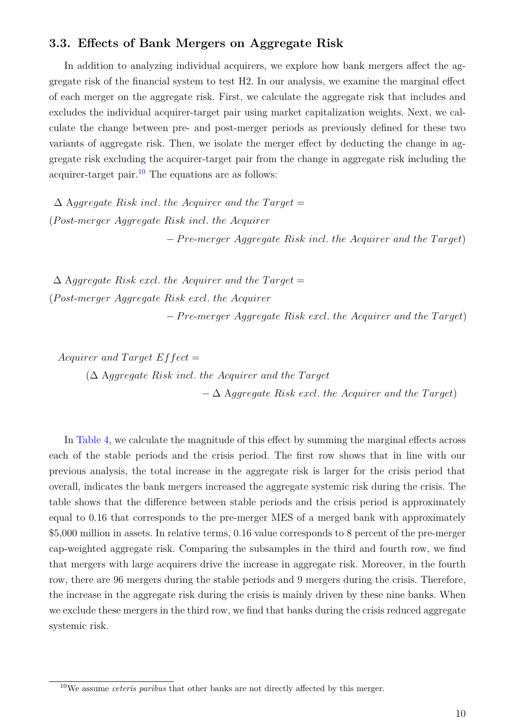### <span id="page-10-0"></span>**3.3. Effects of Bank Mergers on Aggregate Risk**

In addition to analyzing individual acquirers, we explore how bank mergers affect the aggregate risk of the financial system to test H2. In our analysis, we examine the marginal effect of each merger on the aggregate risk. First, we calculate the aggregate risk that includes and excludes the individual acquirer-target pair using market capitalization weights. Next, we calculate the change between pre- and post-merger periods as previously defined for these two variants of aggregate risk. Then, we isolate the merger effect by deducting the change in aggregate risk excluding the acquirer-target pair from the change in aggregate risk including the acquirer-target pair.<sup>[10](#page-0-0)</sup> The equations are as follows:

 $\Delta$  Aggregate Risk incl. the Acquirer and the Target (*P ost*-*merger Aggregate Risk incl. the Acquirer*

− *P re*-*merger Aggregate Risk incl. the Acquirer and the T arget*)

 $\Delta$  Aggregate Risk excl. the Acquirer and the Target (*P ost*-*merger Aggregate Risk excl. the Acquirer*

− *P re*-*merger Aggregate Risk excl. the Acquirer and the T arget*)

*Acquirer and T arget Effect* =

(∆ A*ggregate Risk incl. the Acquirer and the T arget*

− ∆ A*ggregate Risk excl. the Acquirer and the T arget*)

In [Table 4,](#page-11-0) we calculate the magnitude of this effect by summing the marginal effects across each of the stable periods and the crisis period. The first row shows that in line with our previous analysis, the total increase in the aggregate risk is larger for the crisis period that overall, indicates the bank mergers increased the aggregate systemic risk during the crisis. The table shows that the difference between stable periods and the crisis period is approximately equal to 0.16 that corresponds to the pre-merger MES of a merged bank with approximately \$5,000 million in assets. In relative terms, 0.16 value corresponds to 8 percent of the pre-merger cap-weighted aggregate risk. Comparing the subsamples in the third and fourth row, we find that mergers with large acquirers drive the increase in aggregate risk. Moreover, in the fourth row, there are 96 mergers during the stable periods and 9 mergers during the crisis. Therefore, the increase in the aggregate risk during the crisis is mainly driven by these nine banks. When we exclude these mergers in the third row, we find that banks during the crisis reduced aggregate systemic risk.

<sup>10</sup>We assume *ceteris paribus* that other banks are not directly affected by this merger.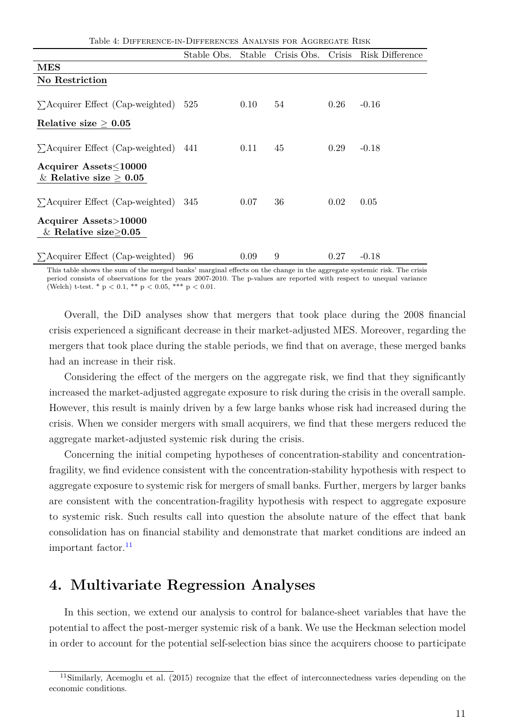Table 4: Difference-in-Differences Analysis for Aggregate Risk

<span id="page-11-0"></span>

|                                                                                                      | Stable Obs. | Stable | Crisis Obs. | Crisis | Risk Difference |
|------------------------------------------------------------------------------------------------------|-------------|--------|-------------|--------|-----------------|
| <b>MES</b>                                                                                           |             |        |             |        |                 |
| No Restriction                                                                                       |             |        |             |        |                 |
| $\sum$ Acquirer Effect (Cap-weighted)                                                                | 525         | 0.10   | 54          | 0.26   | $-0.16$         |
| Relative size $\geq 0.05$                                                                            |             |        |             |        |                 |
| $\sum$ Acquirer Effect (Cap-weighted)<br>Acquirer Assets \times 10000<br>& Relative size $\geq 0.05$ | 441         | 0.11   | 45          | 0.29   | $-0.18$         |
| $\sum$ Acquirer Effect (Cap-weighted)                                                                | 345         | 0.07   | 36          | 0.02   | 0.05            |
| Acquirer Assets>10000<br>& Relative size $>0.05$                                                     |             |        |             |        |                 |
| $\sum$ Acquirer Effect (Cap-weighted)                                                                | 96          | 0.09   | 9           | 0.27   | $-0.18$         |

This table shows the sum of the merged banks' marginal effects on the change in the aggregate systemic risk. The crisis period consists of observations for the years 2007-2010. The p-values are reported with respect to unequal variance (Welch) t-test. \*  $p < 0.1$ , \*\*  $p < 0.05$ , \*\*\*  $p < 0.01$ .

Overall, the DiD analyses show that mergers that took place during the 2008 financial crisis experienced a significant decrease in their market-adjusted MES. Moreover, regarding the mergers that took place during the stable periods, we find that on average, these merged banks had an increase in their risk.

Considering the effect of the mergers on the aggregate risk, we find that they significantly increased the market-adjusted aggregate exposure to risk during the crisis in the overall sample. However, this result is mainly driven by a few large banks whose risk had increased during the crisis. When we consider mergers with small acquirers, we find that these mergers reduced the aggregate market-adjusted systemic risk during the crisis.

Concerning the initial competing hypotheses of concentration-stability and concentrationfragility, we find evidence consistent with the concentration-stability hypothesis with respect to aggregate exposure to systemic risk for mergers of small banks. Further, mergers by larger banks are consistent with the concentration-fragility hypothesis with respect to aggregate exposure to systemic risk. Such results call into question the absolute nature of the effect that bank consolidation has on financial stability and demonstrate that market conditions are indeed an important factor.[11](#page-0-0)

### **4. Multivariate Regression Analyses**

In this section, we extend our analysis to control for balance-sheet variables that have the potential to affect the post-merger systemic risk of a bank. We use the Heckman selection model in order to account for the potential self-selection bias since the acquirers choose to participate

<sup>11</sup>Similarly, Acemoglu et al. (2015) recognize that the effect of interconnectedness varies depending on the economic conditions.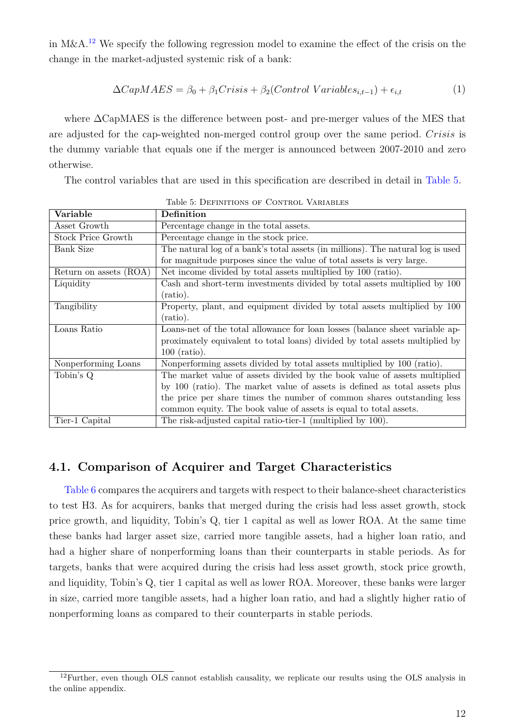in M&A.[12](#page-0-0) We specify the following regression model to examine the effect of the crisis on the change in the market-adjusted systemic risk of a bank:

$$
\Delta CapMAES = \beta_0 + \beta_1 Crisis + \beta_2 (Control\ Variables_{i,t-1}) + \epsilon_{i,t} \tag{1}
$$

where ∆CapMAES is the difference between post- and pre-merger values of the MES that are adjusted for the cap-weighted non-merged control group over the same period. *Crisis* is the dummy variable that equals one if the merger is announced between 2007-2010 and zero otherwise.

The control variables that are used in this specification are described in detail in [Table 5.](#page-12-1)

<span id="page-12-1"></span>

| Variable               | Definition                                                                      |
|------------------------|---------------------------------------------------------------------------------|
|                        |                                                                                 |
| Asset Growth           | Percentage change in the total assets.                                          |
| Stock Price Growth     | Percentage change in the stock price.                                           |
| Bank Size              | The natural log of a bank's total assets (in millions). The natural log is used |
|                        | for magnitude purposes since the value of total assets is very large.           |
| Return on assets (ROA) | Net income divided by total assets multiplied by 100 (ratio).                   |
| Liquidity              | Cash and short-term investments divided by total assets multiplied by 100       |
|                        | (ratio).                                                                        |
| Tangibility            | Property, plant, and equipment divided by total assets multiplied by 100        |
|                        | (ratio).                                                                        |
| Loans Ratio            | Loans-net of the total allowance for loan losses (balance sheet variable ap-    |
|                        | proximately equivalent to total loans) divided by total assets multiplied by    |
|                        | $100$ (ratio).                                                                  |
| Nonperforming Loans    | Nonperforming assets divided by total assets multiplied by 100 (ratio).         |
| Tobin's Q              | The market value of assets divided by the book value of assets multiplied       |
|                        | by 100 (ratio). The market value of assets is defined as total assets plus      |
|                        | the price per share times the number of common shares outstanding less          |
|                        | common equity. The book value of assets is equal to total assets.               |
| Tier-1 Capital         | The risk-adjusted capital ratio-tier-1 (multiplied by 100).                     |

Table 5: Definitions of Control Variables

### <span id="page-12-0"></span>**4.1. Comparison of Acquirer and Target Characteristics**

[Table 6](#page-13-0) compares the acquirers and targets with respect to their balance-sheet characteristics to test H3. As for acquirers, banks that merged during the crisis had less asset growth, stock price growth, and liquidity, Tobin's Q, tier 1 capital as well as lower ROA. At the same time these banks had larger asset size, carried more tangible assets, had a higher loan ratio, and had a higher share of nonperforming loans than their counterparts in stable periods. As for targets, banks that were acquired during the crisis had less asset growth, stock price growth, and liquidity, Tobin's Q, tier 1 capital as well as lower ROA. Moreover, these banks were larger in size, carried more tangible assets, had a higher loan ratio, and had a slightly higher ratio of nonperforming loans as compared to their counterparts in stable periods.

<sup>&</sup>lt;sup>12</sup>Further, even though OLS cannot establish causality, we replicate our results using the OLS analysis in the online appendix.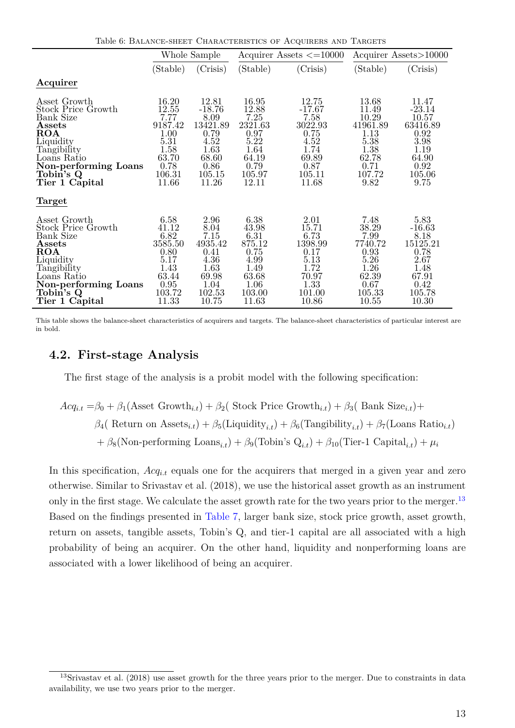<span id="page-13-0"></span>

|                                                                                                                                                                                         |                                                                                               | Whole Sample                                                                                      |                                                                                               | Acquirer Assets $\leq=10000$                                                                     | Acquirer Assets>10000                                                                            |                                                                                                   |  |
|-----------------------------------------------------------------------------------------------------------------------------------------------------------------------------------------|-----------------------------------------------------------------------------------------------|---------------------------------------------------------------------------------------------------|-----------------------------------------------------------------------------------------------|--------------------------------------------------------------------------------------------------|--------------------------------------------------------------------------------------------------|---------------------------------------------------------------------------------------------------|--|
|                                                                                                                                                                                         | (Stable)                                                                                      | (Crisis)                                                                                          | (Stable)                                                                                      | (Crisis)                                                                                         | (Stable)                                                                                         | (Crisis)                                                                                          |  |
| Acquirer                                                                                                                                                                                |                                                                                               |                                                                                                   |                                                                                               |                                                                                                  |                                                                                                  |                                                                                                   |  |
| Asset Growth<br><b>Stock Price Growth</b><br><b>Bank Size</b><br>Assets<br><b>ROA</b><br>Liquidity<br>Tangibility<br>Loans Ratio<br>Non-performing Loans<br>Tobin's Q<br>Tier 1 Capital | 16.20<br>12.55<br>7.77<br>9187.42<br>1.00<br>5.31<br>1.58<br>63.70<br>0.78<br>106.31<br>11.66 | 12.81<br>$-18.76$<br>8.09<br>13421.89<br>0.79<br>4.52<br>1.63<br>68.60<br>0.86<br>105.15<br>11.26 | 16.95<br>12.88<br>7.25<br>2321.63<br>0.97<br>5.22<br>1.64<br>64.19<br>0.79<br>105.97<br>12.11 | 12.75<br>$-17.67$<br>7.58<br>3022.93<br>0.75<br>4.52<br>1.74<br>69.89<br>0.87<br>105.11<br>11.68 | 13.68<br>11.49<br>10.29<br>41961.89<br>1.13<br>5.38<br>1.38<br>62.78<br>0.71<br>107.72<br>9.82   | 11.47<br>$-23.14$<br>10.57<br>63416.89<br>0.92<br>3.98<br>1.19<br>64.90<br>0.92<br>105.06<br>9.75 |  |
| Target                                                                                                                                                                                  |                                                                                               |                                                                                                   |                                                                                               |                                                                                                  |                                                                                                  |                                                                                                   |  |
| Asset Growth<br>Stock Price Growth<br><b>Bank Size</b><br>Assets<br><b>ROA</b><br>Liquidity<br>Tangibility<br>Loans Ratio<br>Non-performing Loans<br>Tobin's Q<br>Tier 1 Capital        | 6.58<br>41.12<br>6.82<br>3585.50<br>0.80<br>5.17<br>1.43<br>63.44<br>0.95<br>103.72<br>11.33  | 2.96<br>8.04<br>7.15<br>4935.42<br>0.41<br>4.36<br>1.63<br>69.98<br>1.04<br>102.53<br>10.75       | 6.38<br>43.98<br>6.31<br>875.12<br>0.75<br>4.99<br>1.49<br>63.68<br>1.06<br>103.00<br>11.63   | 2.01<br>15.71<br>6.73<br>1398.99<br>0.17<br>5.13<br>1.72<br>70.97<br>1.33<br>101.00<br>10.86     | 7.48<br>38.29<br>7.99<br>7740.72<br>0.93<br>5.26<br>$1.26\,$<br>62.39<br>0.67<br>105.33<br>10.55 | 5.83<br>-16.63<br>8.18<br>15125.21<br>0.78<br>2.67<br>1.48<br>67.91<br>0.42<br>105.78<br>10.30    |  |

Table 6: Balance-sheet Characteristics of Acquirers and Targets

This table shows the balance-sheet characteristics of acquirers and targets. The balance-sheet characteristics of particular interest are in bold.

#### **4.2. First-stage Analysis**

The first stage of the analysis is a probit model with the following specification:

$$
Acq_{i,t} = \beta_0 + \beta_1(\text{Asset Growth}_{i,t}) + \beta_2(\text{ Stock Price Growth}_{i,t}) + \beta_3(\text{ Bank Size}_{i,t}) + \beta_4(\text{Return on Asset}_{i,t}) + \beta_5(\text{Liquidity}_{i,t}) + \beta_6(\text{Tangibility}_{i,t}) + \beta_7(\text{Loans Ratio}_{i,t}) + \beta_8(\text{Non-performing Loans}_{i,t}) + \beta_9(\text{Tobin's Q}_{i,t}) + \beta_{10}(\text{Tier-1 Capital}_{i,t}) + \mu_i
$$

In this specification, *Acqi.t* equals one for the acquirers that merged in a given year and zero otherwise. Similar to Srivastav et al. (2018), we use the historical asset growth as an instrument only in the first stage. We calculate the asset growth rate for the two years prior to the merger.<sup>[13](#page-0-0)</sup> Based on the findings presented in [Table 7,](#page-14-1) larger bank size, stock price growth, asset growth, return on assets, tangible assets, Tobin's Q, and tier-1 capital are all associated with a high probability of being an acquirer. On the other hand, liquidity and nonperforming loans are associated with a lower likelihood of being an acquirer.

<sup>&</sup>lt;sup>13</sup>Srivastav et al. (2018) use asset growth for the three years prior to the merger. Due to constraints in data availability, we use two years prior to the merger.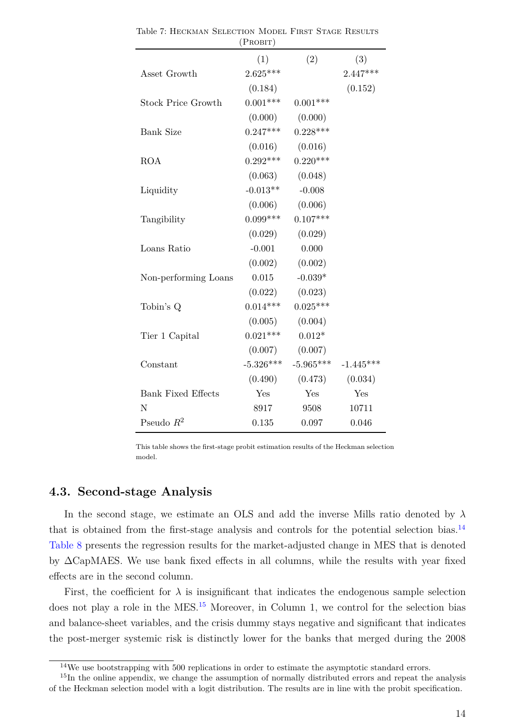|                           | (FRUBIT)            |                         |             |
|---------------------------|---------------------|-------------------------|-------------|
|                           | (1)                 | (2)                     | (3)         |
| Asset Growth              | $2.625***$          |                         | $2.447***$  |
|                           | (0.184)             |                         | (0.152)     |
| <b>Stock Price Growth</b> | $0.001***$          | $0.001***$              |             |
|                           | (0.000)             | (0.000)                 |             |
| Bank Size                 | $0.247***$          | $0.228***$              |             |
|                           | $(0.016)$ $(0.016)$ |                         |             |
| <b>ROA</b>                | $0.292***$          | $0.220***$              |             |
|                           |                     | $(0.063)$ $(0.048)$     |             |
| Liquidity                 | $-0.013**$          | $-0.008$                |             |
|                           | $(0.006)$ $(0.006)$ |                         |             |
| Tangibility               | $0.099***$          | $0.107***$              |             |
|                           |                     | $(0.029)$ $(0.029)$     |             |
| Loans Ratio               | $-0.001$            | 0.000                   |             |
|                           |                     | $(0.002)$ $(0.002)$     |             |
| Non-performing Loans      | 0.015               | $-0.039*$               |             |
|                           |                     | $(0.022)$ $(0.023)$     |             |
| Tobin's Q                 | $0.014***$          | $0.025***$              |             |
|                           |                     | $(0.005)$ $(0.004)$     |             |
| Tier 1 Capital            | $0.021***$          | $0.012*$                |             |
|                           |                     | $(0.007)$ $(0.007)$     |             |
| Constant                  |                     | $-5.326***$ $-5.965***$ | $-1.445***$ |
|                           |                     | $(0.490)$ $(0.473)$     | (0.034)     |
| <b>Bank Fixed Effects</b> | Yes                 | Yes                     | Yes         |
| N                         | 8917                | 9508                    | 10711       |
| Pseudo $R^2$              | 0.135               | 0.097                   | 0.046       |

<span id="page-14-1"></span>Table 7: Heckman Selection Model First Stage Results  $(D_{\text{D}}\text{onm})$ 

This table shows the first-stage probit estimation results of the Heckman selection model.

### <span id="page-14-0"></span>**4.3. Second-stage Analysis**

In the second stage, we estimate an OLS and add the inverse Mills ratio denoted by *λ* that is obtained from the first-stage analysis and controls for the potential selection bias.[14](#page-0-0) [Table 8](#page-15-0) presents the regression results for the market-adjusted change in MES that is denoted by ∆CapMAES. We use bank fixed effects in all columns, while the results with year fixed effects are in the second column.

First, the coefficient for  $\lambda$  is insignificant that indicates the endogenous sample selection does not play a role in the MES.<sup>[15](#page-0-0)</sup> Moreover, in Column 1, we control for the selection bias and balance-sheet variables, and the crisis dummy stays negative and significant that indicates the post-merger systemic risk is distinctly lower for the banks that merged during the 2008

 $14$ We use bootstrapping with 500 replications in order to estimate the asymptotic standard errors.

<sup>&</sup>lt;sup>15</sup>In the online appendix, we change the assumption of normally distributed errors and repeat the analysis of the Heckman selection model with a logit distribution. The results are in line with the probit specification.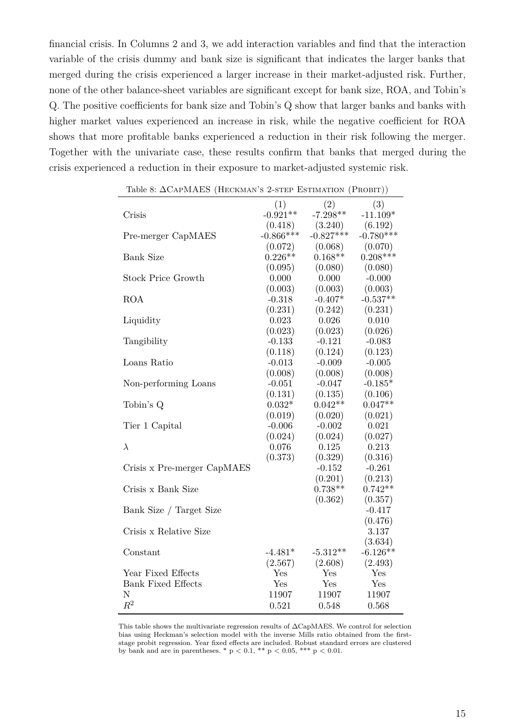financial crisis. In Columns 2 and 3, we add interaction variables and find that the interaction variable of the crisis dummy and bank size is significant that indicates the larger banks that merged during the crisis experienced a larger increase in their market-adjusted risk. Further, none of the other balance-sheet variables are significant except for bank size, ROA, and Tobin's Q. The positive coefficients for bank size and Tobin's Q show that larger banks and banks with higher market values experienced an increase in risk, while the negative coefficient for ROA shows that more profitable banks experienced a reduction in their risk following the merger. Together with the univariate case, these results confirm that banks that merged during the crisis experienced a reduction in their exposure to market-adjusted systemic risk.

<span id="page-15-0"></span>

| Table 8: ACAPMAES (HECKMAN'S 2-STEP ESTIMATION (PROBIT)) |             |             |             |
|----------------------------------------------------------|-------------|-------------|-------------|
|                                                          | (1)         | (2)         | (3)         |
| Crisis                                                   | $-0.921**$  | $-7.298**$  | $-11.109*$  |
|                                                          | (0.418)     | (3.240)     | (6.192)     |
| Pre-merger CapMAES                                       | $-0.866***$ | $-0.827***$ | $-0.780***$ |
|                                                          | (0.072)     | (0.068)     | (0.070)     |
| <b>Bank Size</b>                                         | $0.226**$   | $0.168**$   | $0.208***$  |
|                                                          | (0.095)     | (0.080)     | (0.080)     |
| <b>Stock Price Growth</b>                                | 0.000       | 0.000       | $-0.000$    |
|                                                          | (0.003)     | (0.003)     | (0.003)     |
| <b>ROA</b>                                               | $-0.318$    | $-0.407*$   | $-0.537**$  |
|                                                          | (0.231)     | (0.242)     | (0.231)     |
| Liquidity                                                | 0.023       | 0.026       | 0.010       |
|                                                          | (0.023)     | (0.023)     | (0.026)     |
| Tangibility                                              | $-0.133$    | $-0.121$    | $-0.083$    |
|                                                          | (0.118)     | (0.124)     | (0.123)     |
| Loans Ratio                                              | $-0.013$    | $-0.009$    | $-0.005$    |
|                                                          | (0.008)     | (0.008)     | (0.008)     |
| Non-performing Loans                                     | $-0.051$    | $-0.047$    | $-0.185*$   |
|                                                          | (0.131)     | (0.135)     | (0.106)     |
| Tobin's Q                                                | $0.032*$    | $0.042**$   | $0.047**$   |
|                                                          | (0.019)     | (0.020)     | (0.021)     |
| Tier 1 Capital                                           | $-0.006$    | $-0.002$    | 0.021       |
|                                                          | (0.024)     | (0.024)     | (0.027)     |
| $\lambda$                                                | 0.076       | 0.125       | 0.213       |
|                                                          | (0.373)     | (0.329)     | (0.316)     |
| Crisis x Pre-merger CapMAES                              |             | $-0.152$    | $-0.261$    |
|                                                          |             | (0.201)     | (0.213)     |
| Crisis x Bank Size                                       |             | $0.738**$   | $0.742**$   |
|                                                          |             | (0.362)     | (0.357)     |
| Bank Size / Target Size                                  |             |             | $-0.417$    |
|                                                          |             |             | (0.476)     |
| Crisis x Relative Size                                   |             |             | 3.137       |
|                                                          |             |             | (3.634)     |
| Constant                                                 | $-4.481*$   | $-5.312**$  | $-6.126**$  |
|                                                          | (2.567)     | (2.608)     | (2.493)     |
| Year Fixed Effects                                       | Yes         | Yes         | Yes         |
| <b>Bank Fixed Effects</b>                                | Yes         | Yes         | Yes         |
| N                                                        | 11907       | 11907       | 11907       |
| $R^2$                                                    | 0.521       | 0.548       | 0.568       |

 $T<sub>el</sub>$  8:  $\Lambda$ C<sub>+P</sub>MAES (Hespanis)

This table shows the multivariate regression results of ∆CapMAES. We control for selection bias using Heckman's selection model with the inverse Mills ratio obtained from the firststage probit regression. Year fixed effects are included. Robust standard errors are clustered by bank and are in parentheses. \* p < 0.1, \*\* p < 0.05, \*\*\* p < 0.01.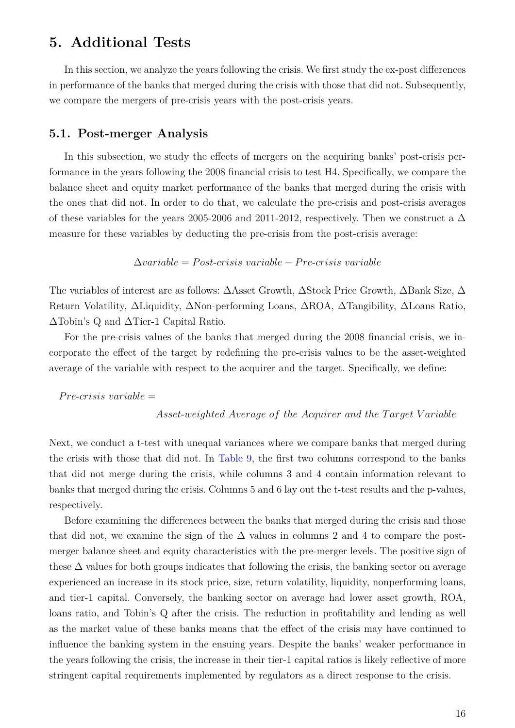### **5. Additional Tests**

In this section, we analyze the years following the crisis. We first study the ex-post differences in performance of the banks that merged during the crisis with those that did not. Subsequently, we compare the mergers of pre-crisis years with the post-crisis years.

#### <span id="page-16-0"></span>**5.1. Post-merger Analysis**

In this subsection, we study the effects of mergers on the acquiring banks' post-crisis performance in the years following the 2008 financial crisis to test H4. Specifically, we compare the balance sheet and equity market performance of the banks that merged during the crisis with the ones that did not. In order to do that, we calculate the pre-crisis and post-crisis averages of these variables for the years 2005-2006 and 2011-2012, respectively. Then we construct a  $\Delta$ measure for these variables by deducting the pre-crisis from the post-crisis average:

∆*variable* = *P ost*-*crisis variable* − *P re*-*crisis variable*

The variables of interest are as follows: ∆Asset Growth, ∆Stock Price Growth, ∆Bank Size, ∆ Return Volatility, ∆Liquidity, ∆Non-performing Loans, ∆ROA, ∆Tangibility, ∆Loans Ratio, ∆Tobin's Q and ∆Tier-1 Capital Ratio.

For the pre-crisis values of the banks that merged during the 2008 financial crisis, we incorporate the effect of the target by redefining the pre-crisis values to be the asset-weighted average of the variable with respect to the acquirer and the target. Specifically, we define:

*P re*-*crisis variable* =

#### Asset-weighted Average of the Acquirer and the Target Variable

Next, we conduct a t-test with unequal variances where we compare banks that merged during the crisis with those that did not. In [Table 9,](#page-17-1) the first two columns correspond to the banks that did not merge during the crisis, while columns 3 and 4 contain information relevant to banks that merged during the crisis. Columns 5 and 6 lay out the t-test results and the p-values, respectively.

Before examining the differences between the banks that merged during the crisis and those that did not, we examine the sign of the  $\Delta$  values in columns 2 and 4 to compare the postmerger balance sheet and equity characteristics with the pre-merger levels. The positive sign of these  $\Delta$  values for both groups indicates that following the crisis, the banking sector on average experienced an increase in its stock price, size, return volatility, liquidity, nonperforming loans, and tier-1 capital. Conversely, the banking sector on average had lower asset growth, ROA, loans ratio, and Tobin's Q after the crisis. The reduction in profitability and lending as well as the market value of these banks means that the effect of the crisis may have continued to influence the banking system in the ensuing years. Despite the banks' weaker performance in the years following the crisis, the increase in their tier-1 capital ratios is likely reflective of more stringent capital requirements implemented by regulators as a direct response to the crisis.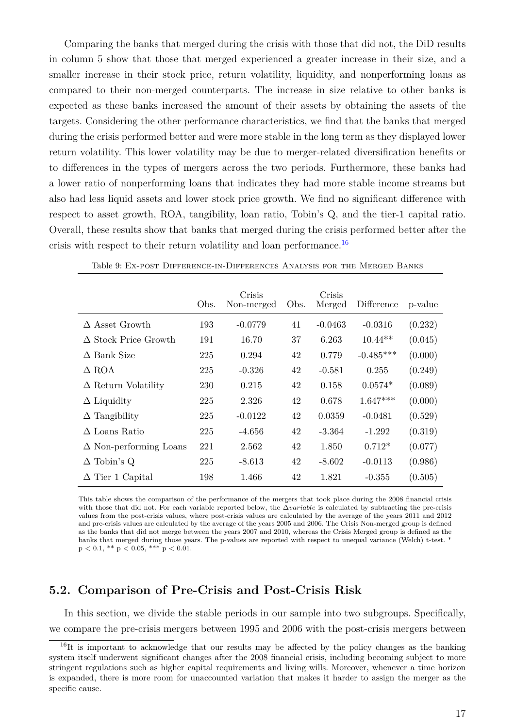Comparing the banks that merged during the crisis with those that did not, the DiD results in column 5 show that those that merged experienced a greater increase in their size, and a smaller increase in their stock price, return volatility, liquidity, and nonperforming loans as compared to their non-merged counterparts. The increase in size relative to other banks is expected as these banks increased the amount of their assets by obtaining the assets of the targets. Considering the other performance characteristics, we find that the banks that merged during the crisis performed better and were more stable in the long term as they displayed lower return volatility. This lower volatility may be due to merger-related diversification benefits or to differences in the types of mergers across the two periods. Furthermore, these banks had a lower ratio of nonperforming loans that indicates they had more stable income streams but also had less liquid assets and lower stock price growth. We find no significant difference with respect to asset growth, ROA, tangibility, loan ratio, Tobin's Q, and the tier-1 capital ratio. Overall, these results show that banks that merged during the crisis performed better after the crisis with respect to their return volatility and loan performance.<sup>[16](#page-0-0)</sup>

<span id="page-17-1"></span>

|                               | Obs. | Crisis<br>Non-merged | Obs. | Crisis<br>Merged | Difference  | p-value |
|-------------------------------|------|----------------------|------|------------------|-------------|---------|
| $\Delta$ Asset Growth         | 193  | $-0.0779$            | 41   | $-0.0463$        | $-0.0316$   | (0.232) |
| $\Delta$ Stock Price Growth   | 191  | 16.70                | 37   | 6.263            | $10.44**$   | (0.045) |
| $\Delta$ Bank Size            | 225  | 0.294                | 42   | 0.779            | $-0.485***$ | (0.000) |
| $\triangle$ ROA               | 225  | $-0.326$             | 42   | $-0.581$         | 0.255       | (0.249) |
| $\Delta$ Return Volatility    | 230  | 0.215                | 42   | 0.158            | $0.0574*$   | (0.089) |
| $\Delta$ Liquidity            | 225  | 2.326                | 42   | 0.678            | $1.647***$  | (0.000) |
| $\Delta$ Tangibility          | 225  | $-0.0122$            | 42   | 0.0359           | $-0.0481$   | (0.529) |
| $\Delta$ Loans Ratio          | 225  | $-4.656$             | 42   | $-3.364$         | $-1.292$    | (0.319) |
| $\Delta$ Non-performing Loans | 221  | 2.562                | 42   | 1.850            | $0.712*$    | (0.077) |
| $\Delta$ Tobin's Q            | 225  | -8.613               | 42   | $-8.602$         | $-0.0113$   | (0.986) |
| $\Delta$ Tier 1 Capital       | 198  | 1.466                | 42   | 1.821            | $-0.355$    | (0.505) |

|  |  | Table 9: EX-POST DIFFERENCE-IN-DIFFERENCES ANALYSIS FOR THE MERGED BANKS |  |  |  |  |
|--|--|--------------------------------------------------------------------------|--|--|--|--|
|--|--|--------------------------------------------------------------------------|--|--|--|--|

This table shows the comparison of the performance of the mergers that took place during the 2008 financial crisis with those that did not. For each variable reported below, the ∆*variable* is calculated by subtracting the pre-crisis values from the post-crisis values, where post-crisis values are calculated by the average of the years 2011 and 2012 and pre-crisis values are calculated by the average of the years 2005 and 2006. The Crisis Non-merged group is defined as the banks that did not merge between the years 2007 and 2010, whereas the Crisis Merged group is defined as the banks that merged during those years. The p-values are reported with respect to unequal variance (Welch) t-test. \*  $p < 0.1$ , \*\*  $p < 0.05$ , \*\*\*  $p < 0.01$ .

### <span id="page-17-0"></span>**5.2. Comparison of Pre-Crisis and Post-Crisis Risk**

In this section, we divide the stable periods in our sample into two subgroups. Specifically, we compare the pre-crisis mergers between 1995 and 2006 with the post-crisis mergers between

 $16$ It is important to acknowledge that our results may be affected by the policy changes as the banking system itself underwent significant changes after the 2008 financial crisis, including becoming subject to more stringent regulations such as higher capital requirements and living wills. Moreover, whenever a time horizon is expanded, there is more room for unaccounted variation that makes it harder to assign the merger as the specific cause.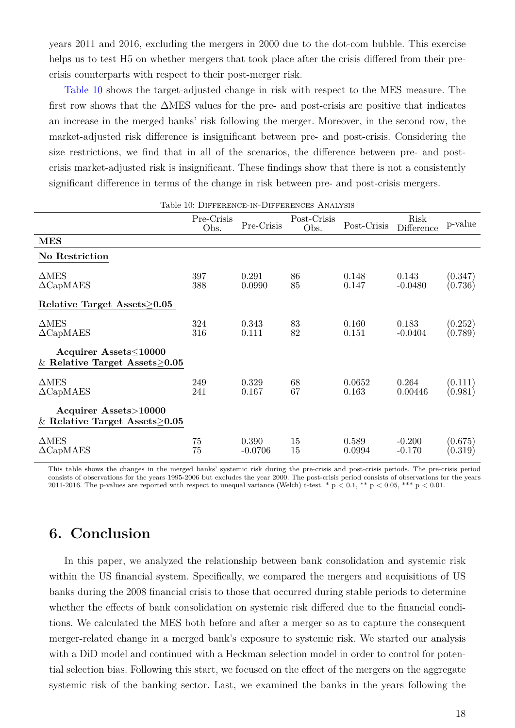years 2011 and 2016, excluding the mergers in 2000 due to the dot-com bubble. This exercise helps us to test H5 on whether mergers that took place after the crisis differed from their precrisis counterparts with respect to their post-merger risk.

[Table 10](#page-18-0) shows the target-adjusted change in risk with respect to the MES measure. The first row shows that the ∆MES values for the pre- and post-crisis are positive that indicates an increase in the merged banks' risk following the merger. Moreover, in the second row, the market-adjusted risk difference is insignificant between pre- and post-crisis. Considering the size restrictions, we find that in all of the scenarios, the difference between pre- and postcrisis market-adjusted risk is insignificant. These findings show that there is not a consistently significant difference in terms of the change in risk between pre- and post-crisis mergers.

<span id="page-18-0"></span>

|                                                                 | Pre-Crisis<br>Obs. | Pre-Crisis         | Post-Crisis<br>Obs. | Post-Crisis     | Risk<br>Difference   | p-value                          |
|-----------------------------------------------------------------|--------------------|--------------------|---------------------|-----------------|----------------------|----------------------------------|
| <b>MES</b>                                                      |                    |                    |                     |                 |                      |                                  |
| No Restriction                                                  |                    |                    |                     |                 |                      |                                  |
| $\triangle$ MES<br>$\Delta$ CapMAES                             | 397<br>388         | 0.291<br>0.0990    | 86<br>85            | 0.148<br>0.147  | 0.143<br>$-0.0480$   | (0.347)<br>(0.736)               |
| Relative Target Assets > 0.05                                   |                    |                    |                     |                 |                      |                                  |
| $\triangle$ MES<br>$\Delta$ CapMAES                             | 324<br>316         | 0.343<br>0.111     | 83<br>82            | 0.160<br>0.151  | 0.183<br>$-0.0404$   | (0.252)<br>(0.789)               |
| Acquirer Assets < 10000<br>& Relative Target Assets $\geq$ 0.05 |                    |                    |                     |                 |                      |                                  |
| $\triangle$ MES<br>$\Delta$ CapMAES                             | 249<br>241         | 0.329<br>0.167     | 68<br>67            | 0.0652<br>0.163 | 0.264<br>0.00446     | (0.111)<br>(0.981)               |
| Acquirer Assets>10000<br>& Relative Target Assets $\geq$ 0.05   |                    |                    |                     |                 |                      |                                  |
| $\triangle$ MES<br>$\Delta$ CapMAES                             | 75<br>75           | 0.390<br>$-0.0706$ | 15<br>15            | 0.589<br>0.0994 | $-0.200$<br>$-0.170$ | (0.675)<br>$\left( 0.319\right)$ |

Table 10: Difference-in-Differences Analysis

This table shows the changes in the merged banks' systemic risk during the pre-crisis and post-crisis periods. The pre-crisis period consists of observations for the years 1995-2006 but excludes the year 2000. The post-crisis period consists of observations for the years 2011-2016. The p-values are reported with respect to unequal variance (Welch) t-test.  $* p < 0.1$ ,  $** p < 0.05$ ,  $** p < 0.01$ .

## **6. Conclusion**

In this paper, we analyzed the relationship between bank consolidation and systemic risk within the US financial system. Specifically, we compared the mergers and acquisitions of US banks during the 2008 financial crisis to those that occurred during stable periods to determine whether the effects of bank consolidation on systemic risk differed due to the financial conditions. We calculated the MES both before and after a merger so as to capture the consequent merger-related change in a merged bank's exposure to systemic risk. We started our analysis with a DiD model and continued with a Heckman selection model in order to control for potential selection bias. Following this start, we focused on the effect of the mergers on the aggregate systemic risk of the banking sector. Last, we examined the banks in the years following the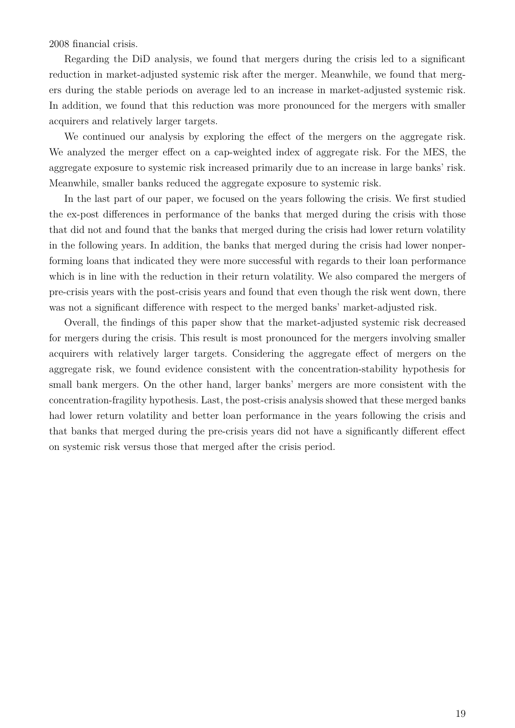2008 financial crisis.

Regarding the DiD analysis, we found that mergers during the crisis led to a significant reduction in market-adjusted systemic risk after the merger. Meanwhile, we found that mergers during the stable periods on average led to an increase in market-adjusted systemic risk. In addition, we found that this reduction was more pronounced for the mergers with smaller acquirers and relatively larger targets.

We continued our analysis by exploring the effect of the mergers on the aggregate risk. We analyzed the merger effect on a cap-weighted index of aggregate risk. For the MES, the aggregate exposure to systemic risk increased primarily due to an increase in large banks' risk. Meanwhile, smaller banks reduced the aggregate exposure to systemic risk.

In the last part of our paper, we focused on the years following the crisis. We first studied the ex-post differences in performance of the banks that merged during the crisis with those that did not and found that the banks that merged during the crisis had lower return volatility in the following years. In addition, the banks that merged during the crisis had lower nonperforming loans that indicated they were more successful with regards to their loan performance which is in line with the reduction in their return volatility. We also compared the mergers of pre-crisis years with the post-crisis years and found that even though the risk went down, there was not a significant difference with respect to the merged banks' market-adjusted risk.

Overall, the findings of this paper show that the market-adjusted systemic risk decreased for mergers during the crisis. This result is most pronounced for the mergers involving smaller acquirers with relatively larger targets. Considering the aggregate effect of mergers on the aggregate risk, we found evidence consistent with the concentration-stability hypothesis for small bank mergers. On the other hand, larger banks' mergers are more consistent with the concentration-fragility hypothesis. Last, the post-crisis analysis showed that these merged banks had lower return volatility and better loan performance in the years following the crisis and that banks that merged during the pre-crisis years did not have a significantly different effect on systemic risk versus those that merged after the crisis period.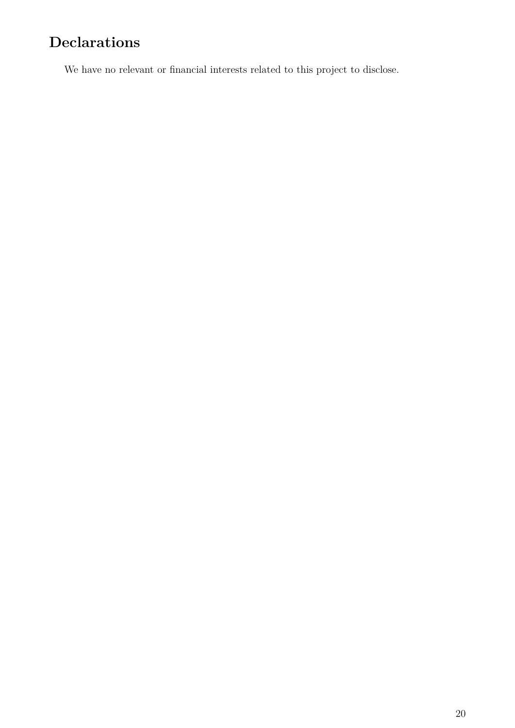# **Declarations**

We have no relevant or financial interests related to this project to disclose.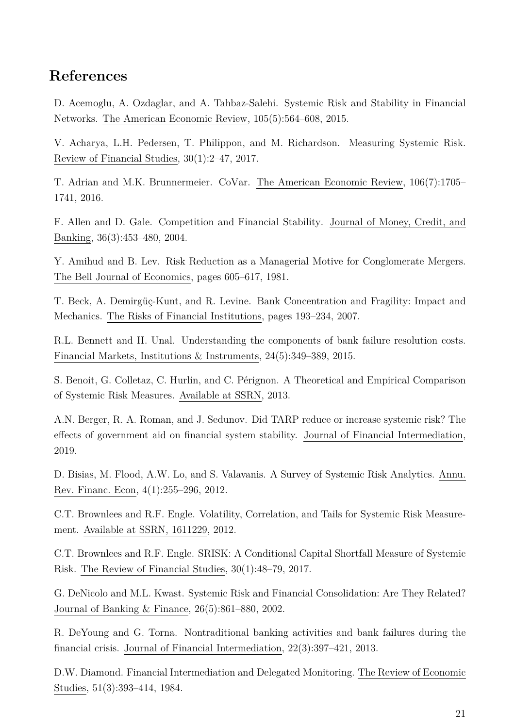## **References**

D. Acemoglu, A. Ozdaglar, and A. Tahbaz-Salehi. Systemic Risk and Stability in Financial Networks. The American Economic Review, 105(5):564–608, 2015.

V. Acharya, L.H. Pedersen, T. Philippon, and M. Richardson. Measuring Systemic Risk. Review of Financial Studies, 30(1):2–47, 2017.

T. Adrian and M.K. Brunnermeier. CoVar. The American Economic Review, 106(7):1705– 1741, 2016.

F. Allen and D. Gale. Competition and Financial Stability. Journal of Money, Credit, and Banking, 36(3):453–480, 2004.

Y. Amihud and B. Lev. Risk Reduction as a Managerial Motive for Conglomerate Mergers. The Bell Journal of Economics, pages 605–617, 1981.

T. Beck, A. Demirgüç-Kunt, and R. Levine. Bank Concentration and Fragility: Impact and Mechanics. The Risks of Financial Institutions, pages 193–234, 2007.

R.L. Bennett and H. Unal. Understanding the components of bank failure resolution costs. Financial Markets, Institutions & Instruments, 24(5):349–389, 2015.

S. Benoit, G. Colletaz, C. Hurlin, and C. Pérignon. A Theoretical and Empirical Comparison of Systemic Risk Measures. Available at SSRN, 2013.

A.N. Berger, R. A. Roman, and J. Sedunov. Did TARP reduce or increase systemic risk? The effects of government aid on financial system stability. Journal of Financial Intermediation, 2019.

D. Bisias, M. Flood, A.W. Lo, and S. Valavanis. A Survey of Systemic Risk Analytics. Annu. Rev. Financ. Econ, 4(1):255–296, 2012.

C.T. Brownlees and R.F. Engle. Volatility, Correlation, and Tails for Systemic Risk Measurement. Available at SSRN, 1611229, 2012.

C.T. Brownlees and R.F. Engle. SRISK: A Conditional Capital Shortfall Measure of Systemic Risk. The Review of Financial Studies, 30(1):48–79, 2017.

G. DeNicolo and M.L. Kwast. Systemic Risk and Financial Consolidation: Are They Related? Journal of Banking & Finance, 26(5):861–880, 2002.

R. DeYoung and G. Torna. Nontraditional banking activities and bank failures during the financial crisis. Journal of Financial Intermediation, 22(3):397–421, 2013.

D.W. Diamond. Financial Intermediation and Delegated Monitoring. The Review of Economic Studies, 51(3):393–414, 1984.